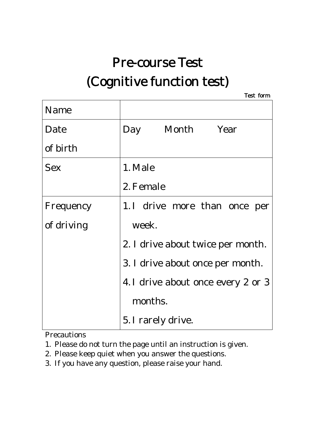# Pre-course Test (Cognitive function test)

Test form

| Name       |                                    |  |  |
|------------|------------------------------------|--|--|
| Date       | Day Month Year                     |  |  |
| of birth   |                                    |  |  |
| <b>Sex</b> | 1. Male                            |  |  |
|            | 2. Female                          |  |  |
| Frequency  | 1. I drive more than once per      |  |  |
| of driving | week.                              |  |  |
|            | 2. I drive about twice per month.  |  |  |
|            | 3. I drive about once per month.   |  |  |
|            | 4. I drive about once every 2 or 3 |  |  |
|            | months.                            |  |  |
|            | 5. I rarely drive.                 |  |  |

Precautions

- 1. Please do not turn the page until an instruction is given.
- 2. Please keep quiet when you answer the questions.
- 3. If you have any question, please raise your hand.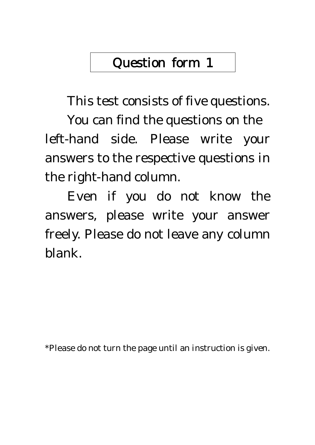This test consists of five questions.

You can find the questions on the left-hand side. Please write your answers to the respective questions in the right-hand column.

Even if you do not know the answers, please write your answer freely. Please do not leave any column blank.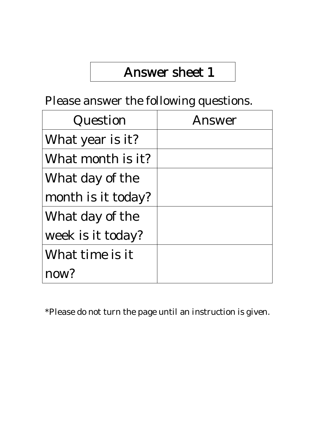#### Please answer the following questions.

| Question           | Answer |
|--------------------|--------|
| What year is it?   |        |
| What month is it?  |        |
| What day of the    |        |
| month is it today? |        |
| What day of the    |        |
| week is it today?  |        |
| What time is it    |        |
| now?               |        |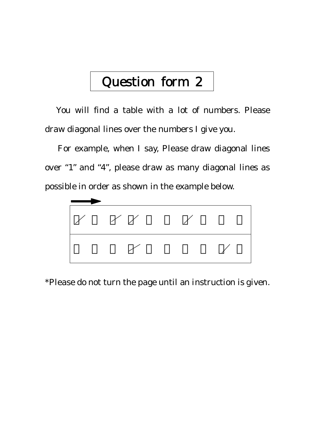You will find a table with a lot of numbers. Please draw diagonal lines over the numbers I give you.

 For example, when I say, Please draw diagonal lines over "1" and "4", please draw as many diagonal lines as possible in order as shown in the example below.

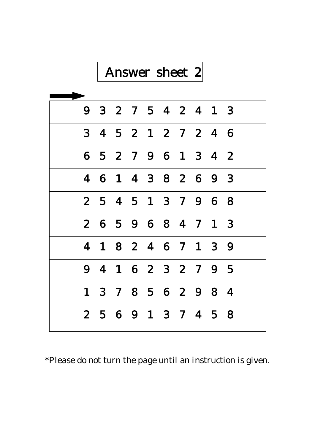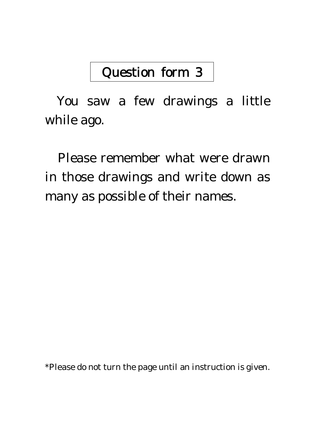You saw a few drawings a little while ago.

Please remember what were drawn in those drawings and write down as many as possible of their names.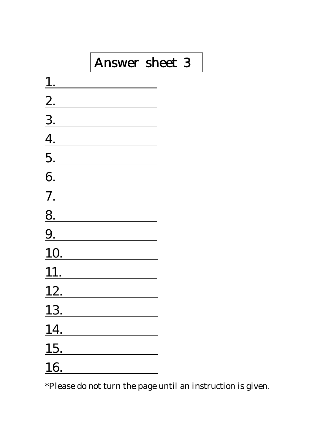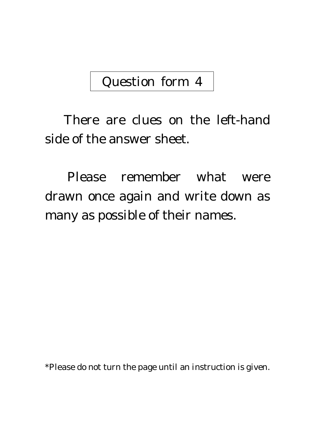There are clues on the left-hand side of the answer sheet.

Please remember what were drawn once again and write down as many as possible of their names.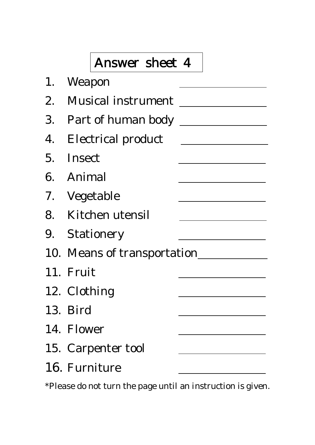| 1. Weapon                   |  |
|-----------------------------|--|
| 2. Musical instrument       |  |
|                             |  |
| 4. Electrical product       |  |
| 5. Insect                   |  |
| 6. Animal                   |  |
| 7. Vegetable                |  |
| 8. Kitchen utensil          |  |
| 9. Stationery               |  |
| 10. Means of transportation |  |
| 11. Fruit                   |  |
| 12. Clothing                |  |
| 13. Bird                    |  |
| 14. Flower                  |  |
| 15. Carpenter tool          |  |
| 16. Furniture               |  |
|                             |  |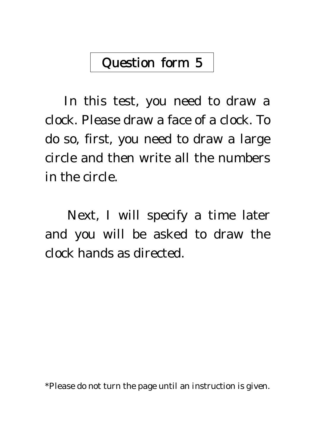In this test, you need to draw a clock. Please draw a face of a clock. To do so, first, you need to draw a large circle and then write all the numbers in the circle.

Next, I will specify a time later and you will be asked to draw the clock hands as directed.